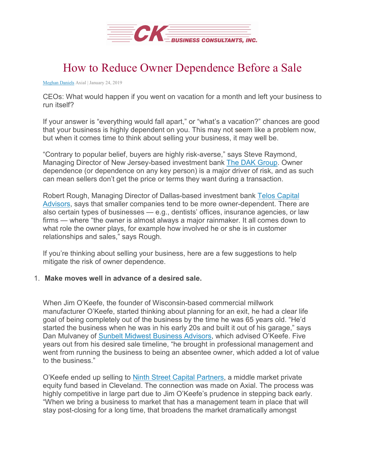

# How to Reduce Owner Dependence Before a Sale

[Meghan Daniels](https://www.axial.net/author/meghan) Axial | January 24, 2019

CEOs: What would happen if you went on vacation for a month and left your business to run itself?

If your answer is "everything would fall apart," or "what's a vacation?" chances are good that your business is highly dependent on you. This may not seem like a problem now, but when it comes time to think about selling your business, it may well be.

"Contrary to popular belief, buyers are highly risk-averse," says Steve Raymond, Managing Director of New Jersey-based investment bank [The DAK Group.](https://network.axial.net/company/dak-group) Owner dependence (or dependence on any key person) is a major driver of risk, and as such can mean sellers don't get the price or terms they want during a transaction.

Robert Rough, Managing Director of Dallas-based investment bank [Telos Capital](https://network.axial.net/company/telos-capital-advisors)  [Advisors,](https://network.axial.net/company/telos-capital-advisors) says that smaller companies tend to be more owner-dependent. There are also certain types of businesses — e.g., dentists' offices, insurance agencies, or law firms — where "the owner is almost always a major rainmaker. It all comes down to what role the owner plays, for example how involved he or she is in customer relationships and sales," says Rough.

If you're thinking about selling your business, here are a few suggestions to help mitigate the risk of owner dependence.

#### 1. **Make moves well in advance of a desired sale.**

When Jim O'Keefe, the founder of Wisconsin-based commercial millwork manufacturer O'Keefe, started thinking about planning for an exit, he had a clear life goal of being completely out of the business by the time he was 65 years old. "He'd started the business when he was in his early 20s and built it out of his garage," says Dan Mulvaney of [Sunbelt Midwest Business Advisors,](https://network.axial.net/company/sunbelt-business-advisors2) which advised O'Keefe. Five years out from his desired sale timeline, "he brought in professional management and went from running the business to being an absentee owner, which added a lot of value to the business."

O'Keefe ended up selling to [Ninth Street Capital Partners,](https://network.axial.net/company/ninth-street-capital-partners) a middle market private equity fund based in Cleveland. The connection was made on Axial. The process was highly competitive in large part due to Jim O'Keefe's prudence in stepping back early. "When we bring a business to market that has a management team in place that will stay post-closing for a long time, that broadens the market dramatically amongst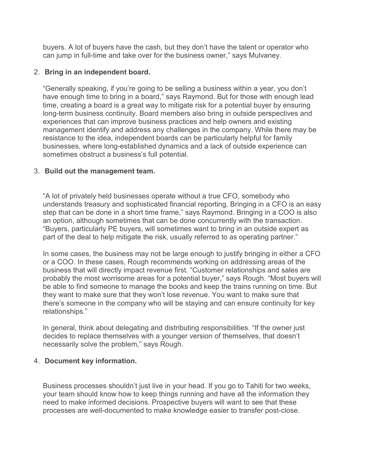buyers. A lot of buyers have the cash, but they don't have the talent or operator who can jump in full-time and take over for the business owner," says Mulvaney.

#### 2. **Bring in an independent board.**

"Generally speaking, if you're going to be selling a business within a year, you don't have enough time to bring in a board," says Raymond. But for those with enough lead time, creating a board is a great way to mitigate risk for a potential buyer by ensuring long-term business continuity. Board members also bring in outside perspectives and experiences that can improve business practices and help owners and existing management identify and address any challenges in the company. While there may be resistance to the idea, independent boards can be particularly helpful for family businesses, where long-established dynamics and a lack of outside experience can sometimes obstruct a business's full potential.

### 3. **Build out the management team.**

"A lot of privately held businesses operate without a true CFO, somebody who understands treasury and sophisticated financial reporting. Bringing in a CFO is an easy step that can be done in a short time frame," says Raymond. Bringing in a COO is also an option, although sometimes that can be done concurrently with the transaction. "Buyers, particularly PE buyers, will sometimes want to bring in an outside expert as part of the deal to help mitigate the risk, usually referred to as operating partner."

In some cases, the business may not be large enough to justify bringing in either a CFO or a COO. In these cases, Rough recommends working on addressing areas of the business that will directly impact revenue first. "Customer relationships and sales are probably the most worrisome areas for a potential buyer," says Rough. "Most buyers will be able to find someone to manage the books and keep the trains running on time. But they want to make sure that they won't lose revenue. You want to make sure that there's someone in the company who will be staying and can ensure continuity for key relationships."

In general, think about delegating and distributing responsibilities. "If the owner just decides to replace themselves with a younger version of themselves, that doesn't necessarily solve the problem," says Rough.

## 4. **Document key information.**

Business processes shouldn't just live in your head. If you go to Tahiti for two weeks, your team should know how to keep things running and have all the information they need to make informed decisions. Prospective buyers will want to see that these processes are well-documented to make knowledge easier to transfer post-close.